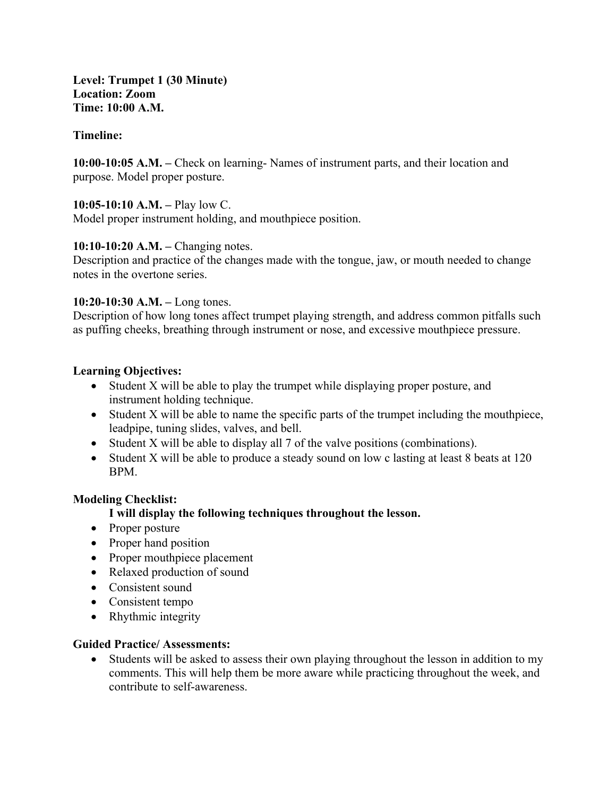**Level: Trumpet 1 (30 Minute) Location: Zoom Time: 10:00 A.M.**

## **Timeline:**

**10:00-10:05 A.M. –** Check on learning- Names of instrument parts, and their location and purpose. Model proper posture.

### **10:05-10:10 A.M. –** Play low C.

Model proper instrument holding, and mouthpiece position.

## **10:10-10:20 A.M. –** Changing notes.

Description and practice of the changes made with the tongue, jaw, or mouth needed to change notes in the overtone series.

## **10:20-10:30 A.M. –** Long tones.

Description of how long tones affect trumpet playing strength, and address common pitfalls such as puffing cheeks, breathing through instrument or nose, and excessive mouthpiece pressure.

## **Learning Objectives:**

- Student X will be able to play the trumpet while displaying proper posture, and instrument holding technique.
- Student X will be able to name the specific parts of the trumpet including the mouthpiece, leadpipe, tuning slides, valves, and bell.
- Student X will be able to display all 7 of the valve positions (combinations).
- Student X will be able to produce a steady sound on low c lasting at least 8 beats at 120 BPM.

## **Modeling Checklist:**

## **I will display the following techniques throughout the lesson.**

- Proper posture
- Proper hand position
- Proper mouthpiece placement
- Relaxed production of sound
- Consistent sound
- Consistent tempo
- Rhythmic integrity

### **Guided Practice/ Assessments:**

• Students will be asked to assess their own playing throughout the lesson in addition to my comments. This will help them be more aware while practicing throughout the week, and contribute to self-awareness.